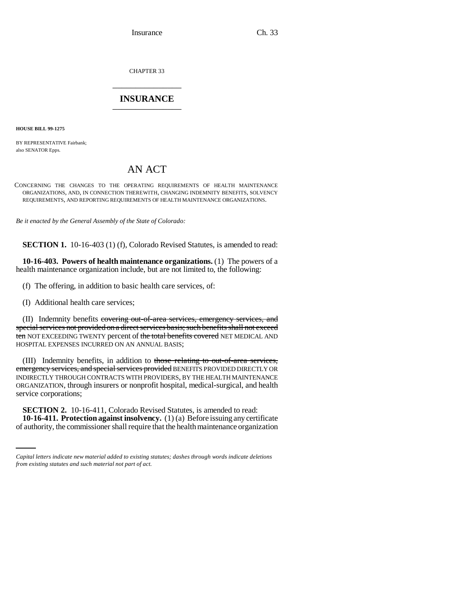Insurance Ch. 33

CHAPTER 33 \_\_\_\_\_\_\_\_\_\_\_\_\_\_\_

# **INSURANCE** \_\_\_\_\_\_\_\_\_\_\_\_\_\_\_

**HOUSE BILL 99-1275** 

BY REPRESENTATIVE Fairbank; also SENATOR Epps.

# AN ACT

CONCERNING THE CHANGES TO THE OPERATING REQUIREMENTS OF HEALTH MAINTENANCE ORGANIZATIONS, AND, IN CONNECTION THEREWITH, CHANGING INDEMNITY BENEFITS, SOLVENCY REQUIREMENTS, AND REPORTING REQUIREMENTS OF HEALTH MAINTENANCE ORGANIZATIONS.

*Be it enacted by the General Assembly of the State of Colorado:*

**SECTION 1.** 10-16-403 (1) (f), Colorado Revised Statutes, is amended to read:

**10-16-403. Powers of health maintenance organizations.** (1) The powers of a health maintenance organization include, but are not limited to, the following:

(f) The offering, in addition to basic health care services, of:

(I) Additional health care services;

(II) Indemnity benefits covering out-of-area services, emergency services, and special services not provided on a direct services basis; such benefits shall not exceed ten NOT EXCEEDING TWENTY percent of the total benefits covered NET MEDICAL AND HOSPITAL EXPENSES INCURRED ON AN ANNUAL BASIS;

(III) Indemnity benefits, in addition to those relating to out-of-area services, emergency services, and special services provided BENEFITS PROVIDED DIRECTLY OR INDIRECTLY THROUGH CONTRACTS WITH PROVIDERS, BY THE HEALTH MAINTENANCE ORGANIZATION, through insurers or nonprofit hospital, medical-surgical, and health service corporations;

 **SECTION 2.** 10-16-411, Colorado Revised Statutes, is amended to read: **10-16-411. Protection against insolvency.** (1) (a) Before issuing any certificate of authority, the commissioner shall require that the health maintenance organization

*Capital letters indicate new material added to existing statutes; dashes through words indicate deletions from existing statutes and such material not part of act.*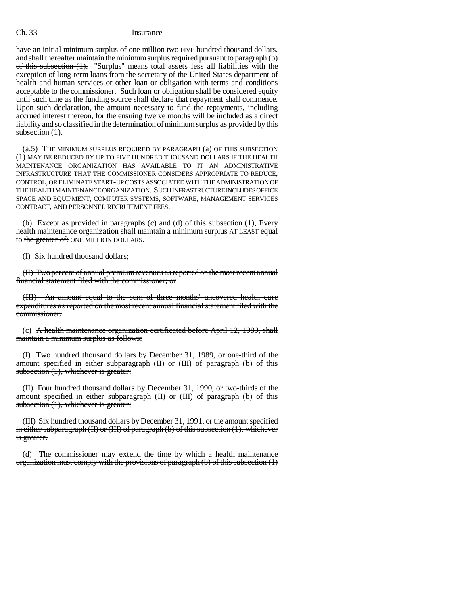## Ch. 33 Insurance

have an initial minimum surplus of one million two FIVE hundred thousand dollars. and shall thereafter maintain the minimum surplus required pursuant to paragraph (b) of this subsection (1). "Surplus" means total assets less all liabilities with the exception of long-term loans from the secretary of the United States department of health and human services or other loan or obligation with terms and conditions acceptable to the commissioner. Such loan or obligation shall be considered equity until such time as the funding source shall declare that repayment shall commence. Upon such declaration, the amount necessary to fund the repayments, including accrued interest thereon, for the ensuing twelve months will be included as a direct liability and so classified in the determination of minimum surplus as provided by this subsection  $(1)$ .

(a.5) THE MINIMUM SURPLUS REQUIRED BY PARAGRAPH (a) OF THIS SUBSECTION (1) MAY BE REDUCED BY UP TO FIVE HUNDRED THOUSAND DOLLARS IF THE HEALTH MAINTENANCE ORGANIZATION HAS AVAILABLE TO IT AN ADMINISTRATIVE INFRASTRUCTURE THAT THE COMMISSIONER CONSIDERS APPROPRIATE TO REDUCE, CONTROL, OR ELIMINATE START-UP COSTS ASSOCIATED WITH THE ADMINISTRATION OF THE HEALTH MAINTENANCE ORGANIZATION. SUCH INFRASTRUCTURE INCLUDES OFFICE SPACE AND EQUIPMENT, COMPUTER SYSTEMS, SOFTWARE, MANAGEMENT SERVICES CONTRACT, AND PERSONNEL RECRUITMENT FEES.

(b) Except as provided in paragraphs (c) and (d) of this subsection  $(1)$ , Every health maintenance organization shall maintain a minimum surplus AT LEAST equal to the greater of: ONE MILLION DOLLARS.

(I) Six hundred thousand dollars;

(II) Two percent of annual premium revenues as reported on the most recent annual financial statement filed with the commissioner; or

(III) An amount equal to the sum of three months' uncovered health care expenditures as reported on the most recent annual financial statement filed with the commissioner.

(c) A health maintenance organization certificated before April  $12$ , 1989, shall maintain a minimum surplus as follows:

(I) Two hundred thousand dollars by December 31, 1989, or one-third of the amount specified in either subparagraph (II) or (III) of paragraph (b) of this subsection (1), whichever is greater;

(II) Four hundred thousand dollars by December 31, 1990, or two-thirds of the amount specified in either subparagraph (II) or (III) of paragraph (b) of this subsection (1), whichever is greater;

(III) Six hundred thousand dollars by December 31, 1991, or the amount specified in either subparagraph  $(H)$  or  $(H)$  of paragraph (b) of this subsection  $(1)$ , whichever is greater.

(d) The commissioner may extend the time by which a health maintenance organization must comply with the provisions of paragraph (b) of this subsection (1)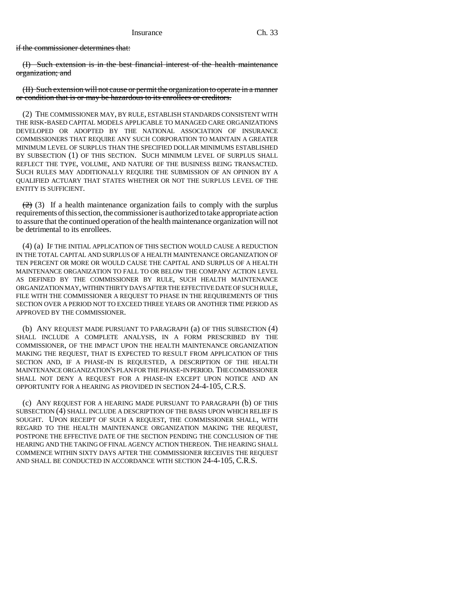if the commissioner determines that:

(I) Such extension is in the best financial interest of the health maintenance organization; and

(II) Such extension will not cause or permit the organization to operate in a manner or condition that is or may be hazardous to its enrollees or creditors.

(2) THE COMMISSIONER MAY, BY RULE, ESTABLISH STANDARDS CONSISTENT WITH THE RISK-BASED CAPITAL MODELS APPLICABLE TO MANAGED CARE ORGANIZATIONS DEVELOPED OR ADOPTED BY THE NATIONAL ASSOCIATION OF INSURANCE COMMISSIONERS THAT REQUIRE ANY SUCH CORPORATION TO MAINTAIN A GREATER MINIMUM LEVEL OF SURPLUS THAN THE SPECIFIED DOLLAR MINIMUMS ESTABLISHED BY SUBSECTION (1) OF THIS SECTION. SUCH MINIMUM LEVEL OF SURPLUS SHALL REFLECT THE TYPE, VOLUME, AND NATURE OF THE BUSINESS BEING TRANSACTED. SUCH RULES MAY ADDITIONALLY REQUIRE THE SUBMISSION OF AN OPINION BY A QUALIFIED ACTUARY THAT STATES WHETHER OR NOT THE SURPLUS LEVEL OF THE ENTITY IS SUFFICIENT.

 $(2)$  (3) If a health maintenance organization fails to comply with the surplus requirements of this section, the commissioner is authorized to take appropriate action to assure that the continued operation of the health maintenance organization will not be detrimental to its enrollees.

(4) (a) IF THE INITIAL APPLICATION OF THIS SECTION WOULD CAUSE A REDUCTION IN THE TOTAL CAPITAL AND SURPLUS OF A HEALTH MAINTENANCE ORGANIZATION OF TEN PERCENT OR MORE OR WOULD CAUSE THE CAPITAL AND SURPLUS OF A HEALTH MAINTENANCE ORGANIZATION TO FALL TO OR BELOW THE COMPANY ACTION LEVEL AS DEFINED BY THE COMMISSIONER BY RULE, SUCH HEALTH MAINTENANCE ORGANIZATION MAY, WITHIN THIRTY DAYS AFTER THE EFFECTIVE DATE OF SUCH RULE, FILE WITH THE COMMISSIONER A REQUEST TO PHASE IN THE REQUIREMENTS OF THIS SECTION OVER A PERIOD NOT TO EXCEED THREE YEARS OR ANOTHER TIME PERIOD AS APPROVED BY THE COMMISSIONER.

(b) ANY REQUEST MADE PURSUANT TO PARAGRAPH (a) OF THIS SUBSECTION (4) SHALL INCLUDE A COMPLETE ANALYSIS, IN A FORM PRESCRIBED BY THE COMMISSIONER, OF THE IMPACT UPON THE HEALTH MAINTENANCE ORGANIZATION MAKING THE REQUEST, THAT IS EXPECTED TO RESULT FROM APPLICATION OF THIS SECTION AND, IF A PHASE-IN IS REQUESTED, A DESCRIPTION OF THE HEALTH MAINTENANCE ORGANIZATION'S PLAN FOR THE PHASE-IN PERIOD. THE COMMISSIONER SHALL NOT DENY A REQUEST FOR A PHASE-IN EXCEPT UPON NOTICE AND AN OPPORTUNITY FOR A HEARING AS PROVIDED IN SECTION 24-4-105, C.R.S.

(c) ANY REQUEST FOR A HEARING MADE PURSUANT TO PARAGRAPH (b) OF THIS SUBSECTION (4) SHALL INCLUDE A DESCRIPTION OF THE BASIS UPON WHICH RELIEF IS SOUGHT. UPON RECEIPT OF SUCH A REQUEST, THE COMMISSIONER SHALL, WITH REGARD TO THE HEALTH MAINTENANCE ORGANIZATION MAKING THE REQUEST, POSTPONE THE EFFECTIVE DATE OF THE SECTION PENDING THE CONCLUSION OF THE HEARING AND THE TAKING OF FINAL AGENCY ACTION THEREON. THE HEARING SHALL COMMENCE WITHIN SIXTY DAYS AFTER THE COMMISSIONER RECEIVES THE REQUEST AND SHALL BE CONDUCTED IN ACCORDANCE WITH SECTION 24-4-105, C.R.S.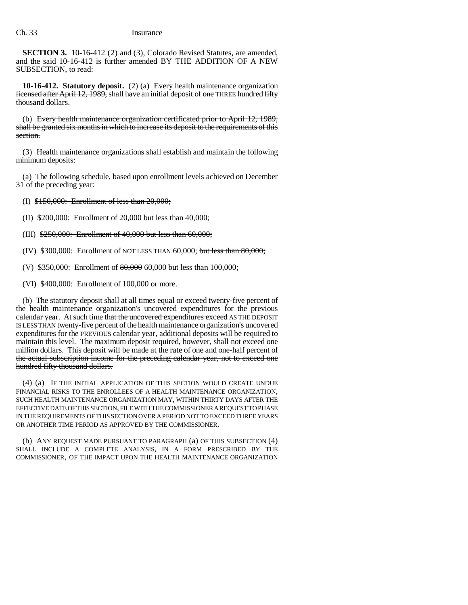**SECTION 3.** 10-16-412 (2) and (3), Colorado Revised Statutes, are amended, and the said 10-16-412 is further amended BY THE ADDITION OF A NEW SUBSECTION, to read:

**10-16-412. Statutory deposit.** (2) (a) Every health maintenance organization licensed after April 12, 1989, shall have an initial deposit of one THREE hundred fifty thousand dollars.

(b) Every health maintenance organization certificated prior to April 12, 1989, shall be granted six months in which to increase its deposit to the requirements of this section.

(3) Health maintenance organizations shall establish and maintain the following minimum deposits:

(a) The following schedule, based upon enrollment levels achieved on December 31 of the preceding year:

(I) \$150,000: Enrollment of less than 20,000;

(II) \$200,000: Enrollment of 20,000 but less than 40,000;

(III) \$250,000: Enrollment of 40,000 but less than 60,000;

(IV) \$300,000: Enrollment of NOT LESS THAN 60,000; but less than 80,000;

(V) \$350,000: Enrollment of 80,000 60,000 but less than 100,000;

(VI) \$400,000: Enrollment of 100,000 or more.

(b) The statutory deposit shall at all times equal or exceed twenty-five percent of the health maintenance organization's uncovered expenditures for the previous calendar year. At such time that the uncovered expenditures exceed AS THE DEPOSIT IS LESS THAN twenty-five percent of the health maintenance organization's uncovered expenditures for the PREVIOUS calendar year, additional deposits will be required to maintain this level. The maximum deposit required, however, shall not exceed one million dollars. This deposit will be made at the rate of one and one-half percent of the actual subscription income for the preceding calendar year, not to exceed one hundred fifty thousand dollars.

(4) (a) IF THE INITIAL APPLICATION OF THIS SECTION WOULD CREATE UNDUE FINANCIAL RISKS TO THE ENROLLEES OF A HEALTH MAINTENANCE ORGANIZATION, SUCH HEALTH MAINTENANCE ORGANIZATION MAY, WITHIN THIRTY DAYS AFTER THE EFFECTIVE DATE OF THIS SECTION, FILE WITH THE COMMISSIONER A REQUEST TO PHASE IN THE REQUIREMENTS OF THIS SECTION OVER A PERIOD NOT TO EXCEED THREE YEARS OR ANOTHER TIME PERIOD AS APPROVED BY THE COMMISSIONER.

(b) ANY REQUEST MADE PURSUANT TO PARAGRAPH (a) OF THIS SUBSECTION (4) SHALL INCLUDE A COMPLETE ANALYSIS, IN A FORM PRESCRIBED BY THE COMMISSIONER, OF THE IMPACT UPON THE HEALTH MAINTENANCE ORGANIZATION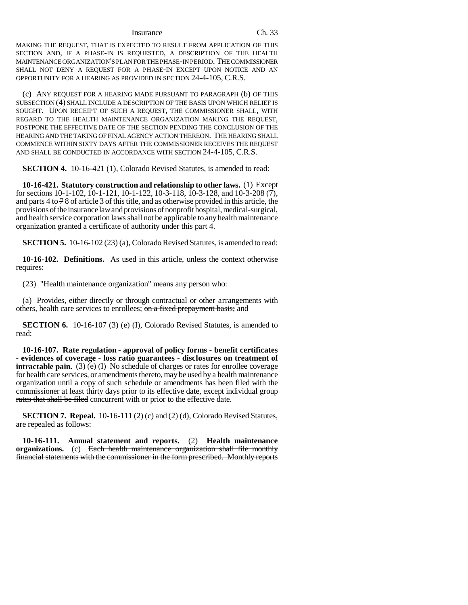### Insurance Ch. 33

MAKING THE REQUEST, THAT IS EXPECTED TO RESULT FROM APPLICATION OF THIS SECTION AND, IF A PHASE-IN IS REQUESTED, A DESCRIPTION OF THE HEALTH MAINTENANCE ORGANIZATION'S PLAN FOR THE PHASE-IN PERIOD. THE COMMISSIONER SHALL NOT DENY A REQUEST FOR A PHASE-IN EXCEPT UPON NOTICE AND AN OPPORTUNITY FOR A HEARING AS PROVIDED IN SECTION 24-4-105, C.R.S.

(c) ANY REQUEST FOR A HEARING MADE PURSUANT TO PARAGRAPH (b) OF THIS SUBSECTION (4) SHALL INCLUDE A DESCRIPTION OF THE BASIS UPON WHICH RELIEF IS SOUGHT. UPON RECEIPT OF SUCH A REQUEST, THE COMMISSIONER SHALL, WITH REGARD TO THE HEALTH MAINTENANCE ORGANIZATION MAKING THE REQUEST, POSTPONE THE EFFECTIVE DATE OF THE SECTION PENDING THE CONCLUSION OF THE HEARING AND THE TAKING OF FINAL AGENCY ACTION THEREON. THE HEARING SHALL COMMENCE WITHIN SIXTY DAYS AFTER THE COMMISSIONER RECEIVES THE REQUEST AND SHALL BE CONDUCTED IN ACCORDANCE WITH SECTION 24-4-105, C.R.S.

**SECTION 4.** 10-16-421 (1), Colorado Revised Statutes, is amended to read:

**10-16-421. Statutory construction and relationship to other laws.** (1) Except for sections 10-1-102, 10-1-121, 10-1-122, 10-3-118, 10-3-128, and 10-3-208 (7), and parts 4 to  $78$  of article 3 of this title, and as otherwise provided in this article, the provisions of the insurance law and provisions of nonprofit hospital, medical-surgical, and health service corporation laws shall not be applicable to any health maintenance organization granted a certificate of authority under this part 4.

**SECTION 5.** 10-16-102 (23) (a), Colorado Revised Statutes, is amended to read:

**10-16-102. Definitions.** As used in this article, unless the context otherwise requires:

(23) "Health maintenance organization" means any person who:

(a) Provides, either directly or through contractual or other arrangements with others, health care services to enrollees; on a fixed prepayment basis; and

**SECTION 6.** 10-16-107 (3) (e) (I), Colorado Revised Statutes, is amended to read:

**10-16-107. Rate regulation - approval of policy forms - benefit certificates - evidences of coverage - loss ratio guarantees - disclosures on treatment of intractable pain.** (3) (e) (I) No schedule of charges or rates for enrollee coverage for health care services, or amendments thereto, may be used by a health maintenance organization until a copy of such schedule or amendments has been filed with the commissioner at least thirty days prior to its effective date, except individual group rates that shall be filed concurrent with or prior to the effective date.

**SECTION 7. Repeal.** 10-16-111 (2) (c) and (2) (d), Colorado Revised Statutes, are repealed as follows:

**10-16-111. Annual statement and reports.** (2) **Health maintenance organizations.** (c) Each health maintenance organization shall file monthly financial statements with the commissioner in the form prescribed. Monthly reports